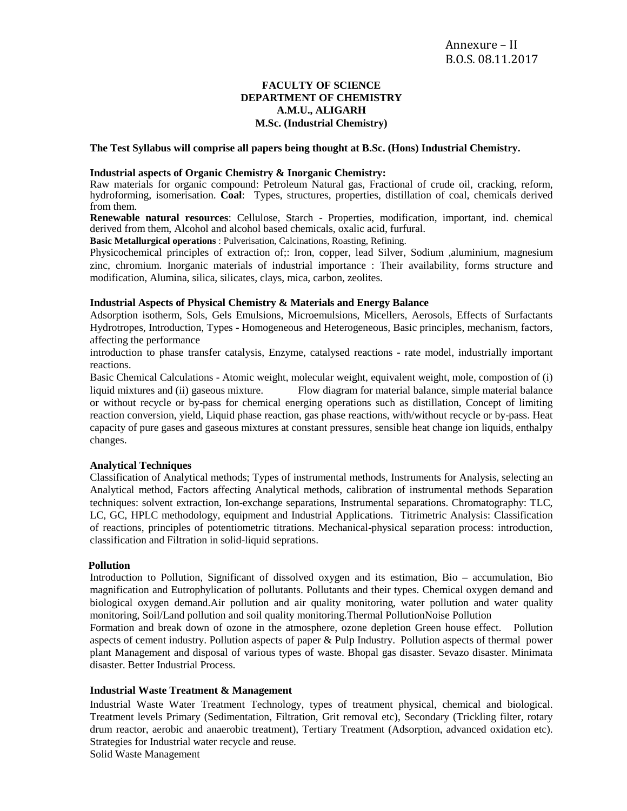# **FACULTY OF SCIENCE DEPARTMENT OF CHEMISTRY A.M.U., ALIGARH M.Sc. (Industrial Chemistry)**

### **The Test Syllabus will comprise all papers being thought at B.Sc. (Hons) Industrial Chemistry.**

#### **Industrial aspects of Organic Chemistry & Inorganic Chemistry:**

Raw materials for organic compound: Petroleum Natural gas, Fractional of crude oil, cracking, reform, hydroforming, isomerisation. **Coal**: Types, structures, properties, distillation of coal, chemicals derived from them.

**Renewable natural resources**: Cellulose, Starch - Properties, modification, important, ind. chemical derived from them, Alcohol and alcohol based chemicals, oxalic acid, furfural.

**Basic Metallurgical operations** : Pulverisation, Calcinations, Roasting, Refining.

Physicochemical principles of extraction of;: Iron, copper, lead Silver, Sodium ,aluminium, magnesium zinc, chromium. Inorganic materials of industrial importance : Their availability, forms structure and modification, Alumina, silica, silicates, clays, mica, carbon, zeolites.

### **Industrial Aspects of Physical Chemistry & Materials and Energy Balance**

Adsorption isotherm, Sols, Gels Emulsions, Microemulsions, Micellers, Aerosols, Effects of Surfactants Hydrotropes, Introduction, Types - Homogeneous and Heterogeneous, Basic principles, mechanism, factors, affecting the performance

introduction to phase transfer catalysis, Enzyme, catalysed reactions - rate model, industrially important reactions.

Basic Chemical Calculations - Atomic weight, molecular weight, equivalent weight, mole, compostion of (i) liquid mixtures and (ii) gaseous mixture. Flow diagram for material balance, simple material balance or without recycle or by-pass for chemical energing operations such as distillation, Concept of limiting reaction conversion, yield, Liquid phase reaction, gas phase reactions, with/without recycle or by-pass. Heat capacity of pure gases and gaseous mixtures at constant pressures, sensible heat change ion liquids, enthalpy changes.

#### **Analytical Techniques**

Classification of Analytical methods; Types of instrumental methods, Instruments for Analysis, selecting an Analytical method, Factors affecting Analytical methods, calibration of instrumental methods Separation techniques: solvent extraction, Ion-exchange separations, Instrumental separations. Chromatography: TLC, LC, GC, HPLC methodology, equipment and Industrial Applications. Titrimetric Analysis: Classification of reactions, principles of potentiometric titrations. Mechanical-physical separation process: introduction, classification and Filtration in solid-liquid seprations.

#### **Pollution**

Introduction to Pollution, Significant of dissolved oxygen and its estimation, Bio – accumulation, Bio magnification and Eutrophylication of pollutants. Pollutants and their types. Chemical oxygen demand and biological oxygen demand.Air pollution and air quality monitoring, water pollution and water quality monitoring, Soil/Land pollution and soil quality monitoring.Thermal PollutionNoise Pollution

Formation and break down of ozone in the atmosphere, ozone depletion Green house effect. Pollution aspects of cement industry. Pollution aspects of paper & Pulp Industry. Pollution aspects of thermal power plant Management and disposal of various types of waste. Bhopal gas disaster. Sevazo disaster. Minimata disaster. Better Industrial Process.

### **Industrial Waste Treatment & Management**

Industrial Waste Water Treatment Technology, types of treatment physical, chemical and biological. Treatment levels Primary (Sedimentation, Filtration, Grit removal etc), Secondary (Trickling filter, rotary drum reactor, aerobic and anaerobic treatment), Tertiary Treatment (Adsorption, advanced oxidation etc). Strategies for Industrial water recycle and reuse.

Solid Waste Management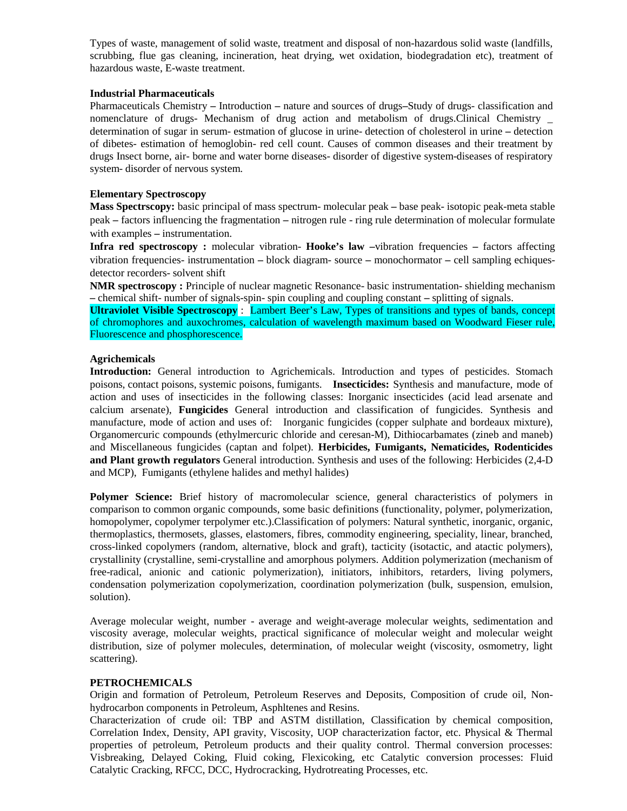Types of waste, management of solid waste, treatment and disposal of non-hazardous solid waste (landfills, scrubbing, flue gas cleaning, incineration, heat drying, wet oxidation, biodegradation etc), treatment of hazardous waste, E-waste treatment.

## **Industrial Pharmaceuticals**

Pharmaceuticals Chemistry **–** Introduction **–** nature and sources of drugs**–**Study of drugs- classification and nomenclature of drugs- Mechanism of drug action and metabolism of drugs.Clinical Chemistry \_ determination of sugar in serum- estmation of glucose in urine- detection of cholesterol in urine **–** detection of dibetes- estimation of hemoglobin- red cell count. Causes of common diseases and their treatment by drugs Insect borne, air- borne and water borne diseases- disorder of digestive system-diseases of respiratory system- disorder of nervous system.

### **Elementary Spectroscopy**

**Mass Spectrscopy:** basic principal of mass spectrum- molecular peak **–** base peak- isotopic peak-meta stable peak **–** factors influencing the fragmentation **–** nitrogen rule - ring rule determination of molecular formulate with examples **–** instrumentation.

**Infra red spectroscopy :** molecular vibration- **Hooke's law –**vibration frequencies **–** factors affecting vibration frequencies- instrumentation **–** block diagram- source **–** monochormator **–** cell sampling echiquesdetector recorders- solvent shift

**NMR spectroscopy :** Principle of nuclear magnetic Resonance- basic instrumentation- shielding mechanism **–** chemical shift- number of signals-spin- spin coupling and coupling constant **–** splitting of signals.

**Ultraviolet Visible Spectroscopy** : Lambert Beer's Law, Types of transitions and types of bands, concept of chromophores and auxochromes, calculation of wavelength maximum based on Woodward Fieser rule, Fluorescence and phosphorescence.

### **Agrichemicals**

**Introduction:** General introduction to Agrichemicals. Introduction and types of pesticides. Stomach poisons, contact poisons, systemic poisons, fumigants. **Insecticides:** Synthesis and manufacture, mode of action and uses of insecticides in the following classes: Inorganic insecticides (acid lead arsenate and calcium arsenate), **Fungicides** General introduction and classification of fungicides. Synthesis and manufacture, mode of action and uses of: Inorganic fungicides (copper sulphate and bordeaux mixture), Organomercuric compounds (ethylmercuric chloride and ceresan-M), Dithiocarbamates (zineb and maneb) and Miscellaneous fungicides (captan and folpet). **Herbicides, Fumigants, Nematicides, Rodenticides and Plant growth regulators** General introduction. Synthesis and uses of the following: Herbicides (2,4-D and MCP), Fumigants (ethylene halides and methyl halides)

**Polymer Science:** Brief history of macromolecular science, general characteristics of polymers in comparison to common organic compounds, some basic definitions (functionality, polymer, polymerization, homopolymer, copolymer terpolymer etc.).Classification of polymers: Natural synthetic, inorganic, organic, thermoplastics, thermosets, glasses, elastomers, fibres, commodity engineering, speciality, linear, branched, cross-linked copolymers (random, alternative, block and graft), tacticity (isotactic, and atactic polymers), crystallinity (crystalline, semi-crystalline and amorphous polymers. Addition polymerization (mechanism of free-radical, anionic and cationic polymerization), initiators, inhibitors, retarders, living polymers, condensation polymerization copolymerization, coordination polymerization (bulk, suspension, emulsion, solution).

Average molecular weight, number - average and weight-average molecular weights, sedimentation and viscosity average, molecular weights, practical significance of molecular weight and molecular weight distribution, size of polymer molecules, determination, of molecular weight (viscosity, osmometry, light scattering).

## **PETROCHEMICALS**

Origin and formation of Petroleum, Petroleum Reserves and Deposits, Composition of crude oil, Nonhydrocarbon components in Petroleum, Asphltenes and Resins.

Characterization of crude oil: TBP and ASTM distillation, Classification by chemical composition, Correlation Index, Density, API gravity, Viscosity, UOP characterization factor, etc. Physical & Thermal properties of petroleum, Petroleum products and their quality control. Thermal conversion processes: Visbreaking, Delayed Coking, Fluid coking, Flexicoking, etc Catalytic conversion processes: Fluid Catalytic Cracking, RFCC, DCC, Hydrocracking, Hydrotreating Processes, etc.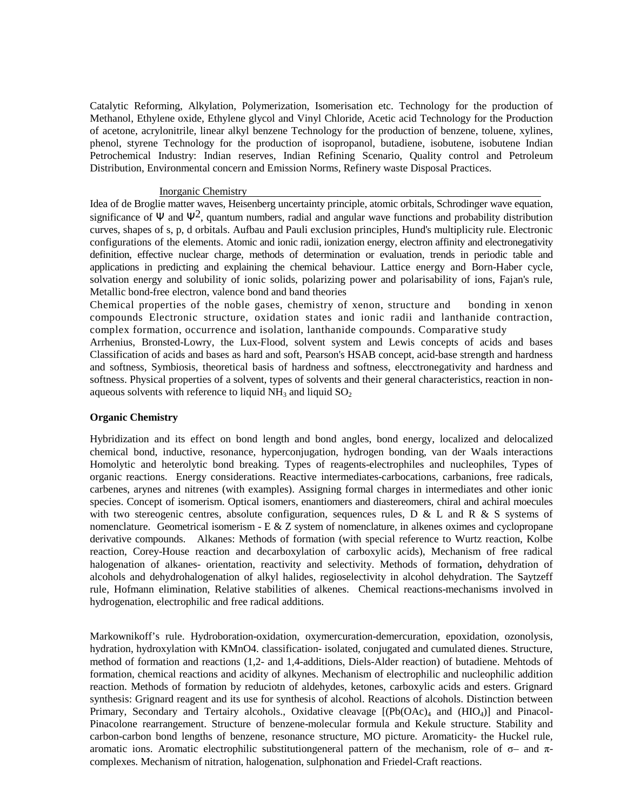Catalytic Reforming, Alkylation, Polymerization, Isomerisation etc. Technology for the production of Methanol, Ethylene oxide, Ethylene glycol and Vinyl Chloride, Acetic acid Technology for the Production of acetone, acrylonitrile, linear alkyl benzene Technology for the production of benzene, toluene, xylines, phenol, styrene Technology for the production of isopropanol, butadiene, isobutene, isobutene Indian Petrochemical Industry: Indian reserves, Indian Refining Scenario, Quality control and Petroleum Distribution, Environmental concern and Emission Norms, Refinery waste Disposal Practices.

### Inorganic Chemistry

Idea of de Broglie matter waves, Heisenberg uncertainty principle, atomic orbitals, Schrodinger wave equation, significance of  $\Psi$  and  $\Psi^2$ , quantum numbers, radial and angular wave functions and probability distribution curves, shapes of s, p, d orbitals. Aufbau and Pauli exclusion principles, Hund's multiplicity rule. Electronic configurations of the elements. Atomic and ionic radii, ionization energy, electron affinity and electronegativity definition, effective nuclear charge, methods of determination or evaluation, trends in periodic table and applications in predicting and explaining the chemical behaviour. Lattice energy and Born-Haber cycle, solvation energy and solubility of ionic solids, polarizing power and polarisability of ions, Fajan's rule, Metallic bond-free electron, valence bond and band theories

Chemical properties of the noble gases, chemistry of xenon, structure and bonding in xenon compounds Electronic structure, oxidation states and ionic radii and lanthanide contraction, complex formation, occurrence and isolation, lanthanide compounds. Comparative study

Arrhenius, Bronsted-Lowry, the Lux-Flood, solvent system and Lewis concepts of acids and bases Classification of acids and bases as hard and soft, Pearson's HSAB concept, acid-base strength and hardness and softness, Symbiosis, theoretical basis of hardness and softness, elecctronegativity and hardness and softness. Physical properties of a solvent, types of solvents and their general characteristics, reaction in nonaqueous solvents with reference to liquid  $NH_3$  and liquid  $SO_2$ 

## **Organic Chemistry**

Hybridization and its effect on bond length and bond angles, bond energy, localized and delocalized chemical bond, inductive, resonance, hyperconjugation, hydrogen bonding, van der Waals interactions Homolytic and heterolytic bond breaking. Types of reagents-electrophiles and nucleophiles, Types of organic reactions. Energy considerations. Reactive intermediates-carbocations, carbanions, free radicals, carbenes, arynes and nitrenes (with examples). Assigning formal charges in intermediates and other ionic species. Concept of isomerism. Optical isomers, enantiomers and diastereomers, chiral and achiral moecules with two stereogenic centres, absolute configuration, sequences rules,  $D \& L$  and R  $\& S$  systems of nomenclature. Geometrical isomerism - E & Z system of nomenclature, in alkenes oximes and cyclopropane derivative compounds. Alkanes: Methods of formation (with special reference to Wurtz reaction, Kolbe reaction, Corey-House reaction and decarboxylation of carboxylic acids), Mechanism of free radical halogenation of alkanes- orientation, reactivity and selectivity. Methods of formation**,** dehydration of alcohols and dehydrohalogenation of alkyl halides, regioselectivity in alcohol dehydration. The Saytzeff rule, Hofmann elimination, Relative stabilities of alkenes. Chemical reactions-mechanisms involved in hydrogenation, electrophilic and free radical additions.

Markownikoff's rule. Hydroboration-oxidation, oxymercuration-demercuration, epoxidation, ozonolysis, hydration, hydroxylation with KMnO4. classification- isolated, conjugated and cumulated dienes. Structure, method of formation and reactions (1,2- and 1,4-additions, Diels-Alder reaction) of butadiene. Mehtods of formation, chemical reactions and acidity of alkynes. Mechanism of electrophilic and nucleophilic addition reaction. Methods of formation by reduciotn of aldehydes, ketones, carboxylic acids and esters. Grignard synthesis: Grignard reagent and its use for synthesis of alcohol. Reactions of alcohols. Distinction between Primary, Secondary and Tertairy alcohols., Oxidative cleavage  $[(Pb(OAc)<sub>4</sub> and (HIO<sub>4</sub>)]$  and Pinacol-Pinacolone rearrangement. Structure of benzene-molecular formula and Kekule structure. Stability and carbon-carbon bond lengths of benzene, resonance structure, MO picture. Aromaticity- the Huckel rule, aromatic ions. Aromatic electrophilic substitutiongeneral pattern of the mechanism, role of  $σ$ – and  $π$ complexes. Mechanism of nitration, halogenation, sulphonation and Friedel-Craft reactions.